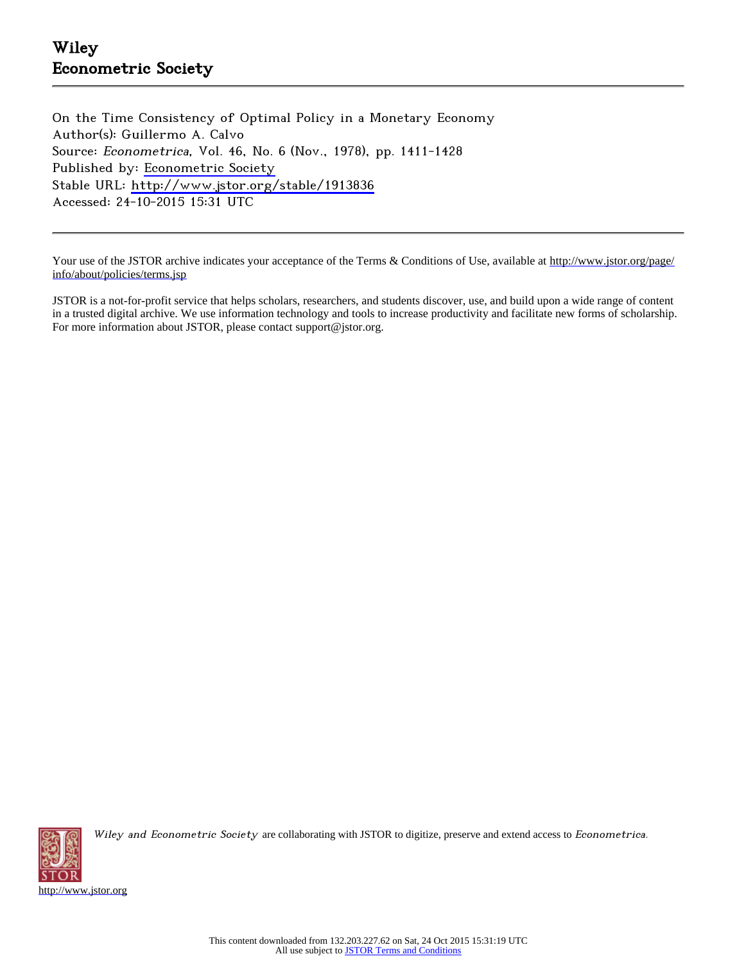On the Time Consistency of Optimal Policy in a Monetary Economy Author(s): Guillermo A. Calvo Source: Econometrica, Vol. 46, No. 6 (Nov., 1978), pp. 1411-1428 Published by: [Econometric Society](http://www.jstor.org/action/showPublisher?publisherCode=econosoc) Stable URL: <http://www.jstor.org/stable/1913836> Accessed: 24-10-2015 15:31 UTC

Your use of the JSTOR archive indicates your acceptance of the Terms & Conditions of Use, available at [http://www.jstor.org/page/](http://www.jstor.org/page/info/about/policies/terms.jsp) [info/about/policies/terms.jsp](http://www.jstor.org/page/info/about/policies/terms.jsp)

JSTOR is a not-for-profit service that helps scholars, researchers, and students discover, use, and build upon a wide range of content in a trusted digital archive. We use information technology and tools to increase productivity and facilitate new forms of scholarship. For more information about JSTOR, please contact support@jstor.org.



Wiley and Econometric Society are collaborating with JSTOR to digitize, preserve and extend access to Econometrica.

This content downloaded from 132.203.227.62 on Sat, 24 Oct 2015 15:31:19 UTC All use subject to [JSTOR Terms and Conditions](http://www.jstor.org/page/info/about/policies/terms.jsp)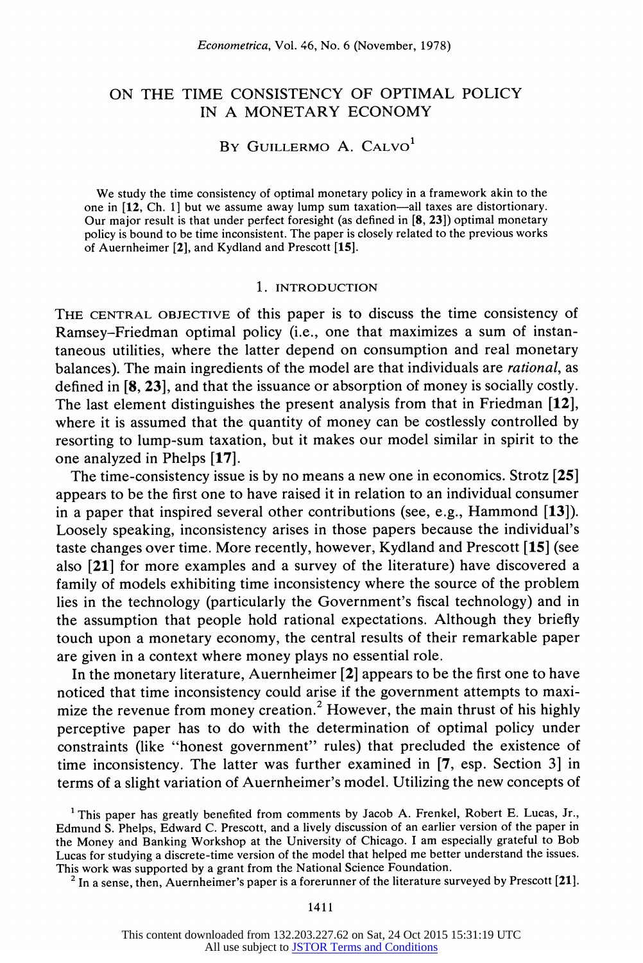## **ON THE TIME CONSISTENCY OF OPTIMAL POLICY IN A MONETARY ECONOMY**

# **BY GUILLERMO A. CALVO'**

**We study the time consistency of optimal monetary policy in a framework akin to the one in [12, Ch. 1] but we assume away lump sum taxation-all taxes are distortionary. Our major result is that under perfect foresight (as defined in [8, 23]) optimal monetary policy is bound to be time inconsistent. The paper is closely related to the previous works of Auernheimer [2], and Kydland and Prescott [15].** 

### **1. INTRODUCTION**

**THE CENTRAL OBJECTIVE of this paper is to discuss the time consistency of Ramsey-Friedman optimal policy (i.e., one that maximizes a sum of instantaneous utilities, where the latter depend on consumption and real monetary balances). The main ingredients of the model are that individuals are rational, as defined in [8, 23], and that the issuance or absorption of money is socially costly. The last element distinguishes the present analysis from that in Friedman [12], where it is assumed that the quantity of money can be costlessly controlled by resorting to lump-sum taxation, but it makes our model similar in spirit to the one analyzed in Phelps [17].** 

**The time-consistency issue is by no means a new one in economics. Strotz [25] appears to be the first one to have raised it in relation to an individual consumer in a paper that inspired several other contributions (see, e.g., Hammond [13]). Loosely speaking, inconsistency arises in those papers because the individual's taste changes over time. More recently, however, Kydland and Prescott [15] (see also [21] for more examples and a survey of the literature) have discovered a family of models exhibiting time inconsistency where the source of the problem lies in the technology (particularly the Government's fiscal technology) and in the assumption that people hold rational expectations. Although they briefly touch upon a monetary economy, the central results of their remarkable paper are given in a context where money plays no essential role.** 

**In the monetary literature, Auernheimer [2] appears to be the first one to have noticed that time inconsistency could arise if the government attempts to maxi**mize the revenue from money creation.<sup>2</sup> However, the main thrust of his highly **perceptive paper has to do with the determination of optimal policy under constraints (like "honest government" rules) that precluded the existence of time inconsistency. The latter was further examined in [7, esp. Section 3] in terms of a slight variation of Auernheimer's model. Utilizing the new concepts of** 

**<sup>2</sup>In a sense, then, Auernheimer's paper is a forerunner of the literature surveyed by Prescott [21].** 

**1411** 

<sup>&</sup>lt;sup>1</sup> This paper has greatly benefited from comments by Jacob A. Frenkel, Robert E. Lucas, Jr., **Edmund S. Phelps, Edward C. Prescott, and a lively discussion of an earlier version of the paper in the Money and Banking Workshop at the University of Chicago. I am especially grateful to Bob Lucas for studying a discrete-time version of the model that helped me better understand the issues. This work was supported by a grant from the National Science Foundation.**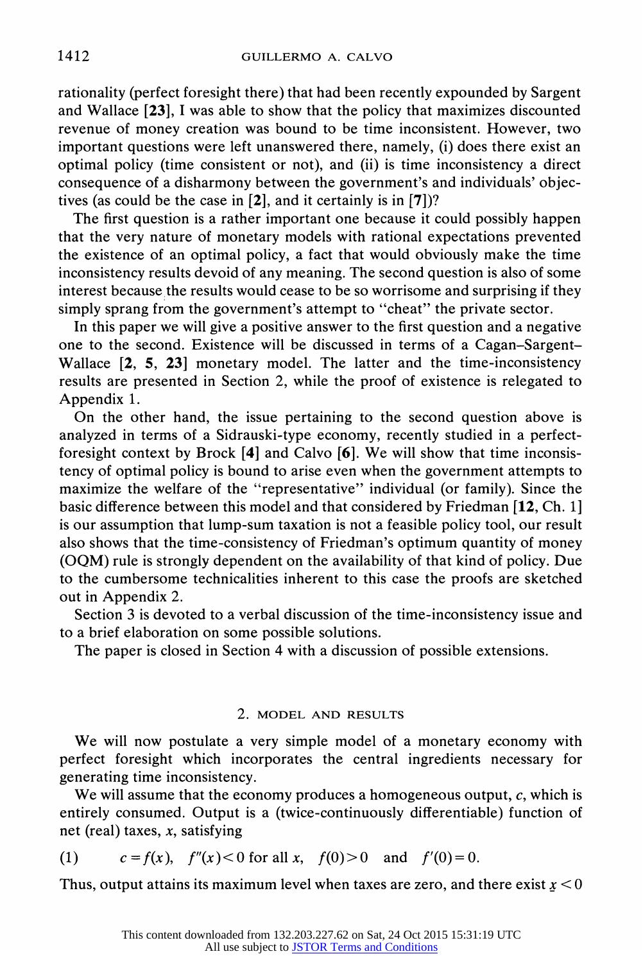**rationality (perfect foresight there) that had been recently expounded by Sargent and Wallace [23], I was able to show that the policy that maximizes discounted revenue of money creation was bound to be time inconsistent. However, two important questions were left unanswered there, namely, (i) does there exist an optimal policy (time consistent or not), and (ii) is time inconsistency a direct consequence of a disharmony between the government's and individuals' objectives (as could be the case in [2], and it certainly is in [7])?** 

**The first question is a rather important one because it could possibly happen that the very nature of monetary models with rational expectations prevented the existence of an optimal policy, a fact that would obviously make the time inconsistency results devoid of any meaning. The second question is also of some interest because the results would cease to be so worrisome and surprising if they simply sprang from the government's attempt to "cheat" the private sector.** 

**In this paper we will give a positive answer to the first question and a negative one to the second. Existence will be discussed in terms of a Cagan-Sargent-Wallace [2, 5, 23] monetary model. The latter and the time-inconsistency results are presented in Section 2, while the proof of existence is relegated to Appendix 1.** 

**On the other hand, the issue pertaining to the second question above is analyzed in terms of a Sidrauski-type economy, recently studied in a perfectforesight context by Brock [4] and Calvo [6]. We will show that time inconsistency of optimal policy is bound to arise even when the government attempts to maximize the welfare of the "representative" individual (or family). Since the basic difference between this model and that considered by Friedman [12, Ch. 1] is our assumption that lump-sum taxation is not a feasible policy tool, our result also shows that the time-consistency of Friedman's optimum quantity of money (OQM) rule is strongly dependent on the availability of that kind of policy. Due to the cumbersome technicalities inherent to this case the proofs are sketched out in Appendix 2.** 

**Section 3 is devoted to a verbal discussion of the time-inconsistency issue and to a brief elaboration on some possible solutions.** 

**The paper is closed in Section 4 with a discussion of possible extensions.** 

## **2. MODEL AND RESULTS**

**We will now postulate a very simple model of a monetary economy with perfect foresight which incorporates the central ingredients necessary for generating time inconsistency.** 

**We will assume that the economy produces a homogeneous output, c, which is entirely consumed. Output is a (twice-continuously differentiable) function of net (real) taxes, x, satisfying** 

(1)  $c = f(x)$ ,  $f''(x) < 0$  for all x,  $f(0) > 0$  and  $f'(0) = 0$ .

Thus, output attains its maximum level when taxes are zero, and there exist  $x < 0$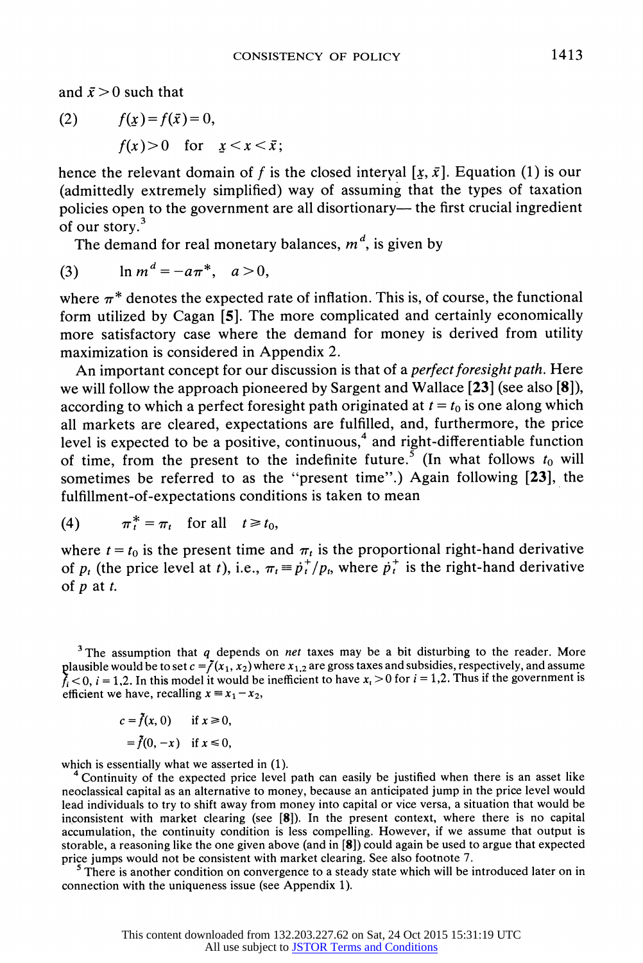and  $\bar{x} > 0$  such that

(2) 
$$
f(x) = f(\bar{x}) = 0,
$$

$$
f(x) > 0 \text{ for } x < x < \bar{x}
$$

hence the relevant domain of f is the closed interval  $[x, \bar{x}]$ . Equation (1) is our **(admittedly extremely simplified) way of assuming that the types of taxation**  policies open to the government are all disortionary— the first crucial ingredient **of our story.3** 

The demand for real monetary balances,  $m^d$ , is given by

(3) 
$$
\ln m^d = -a\pi^*, \quad a > 0,
$$

where  $\pi^*$  denotes the expected rate of inflation. This is, of course, the functional **form utilized by Cagan [5]. The more complicated and certainly economically more satisfactory case where the demand for money is derived from utility maximization is considered in Appendix 2.** 

**An important concept for our discussion is that of a perfect foresight path. Here we will follow the approach pioneered by Sargent and Wallace [23] (see also [8]),**  according to which a perfect foresight path originated at  $t = t_0$  is one along which **all markets are cleared, expectations are fulfilled, and, furthermore, the price**  level is expected to be a positive, continuous,<sup>4</sup> and right-differentiable function of time, from the present to the indefinite future.<sup>5</sup> (In what follows  $t_0$  will **sometimes be referred to as the "present time".) Again following [23], the fulfillment-of-expectations conditions is taken to mean** 

$$
(4) \qquad \pi_t^* = \pi_t \quad \text{for all} \quad t \geq t_0,
$$

where  $t = t_0$  is the present time and  $\pi_t$  is the proportional right-hand derivative of p<sub>t</sub> (the price level at t), i.e.,  $\pi_t \equiv p_t^+/p_t$ , where  $p_t^+$  is the right-hand derivative **of p at t.** 

**3The assumption that q depends on net taxes may be a bit disturbing to the reader. More**  plausible would be to set  $c = \tilde{f}(x_1, x_2)$  where  $x_{1,2}$  are gross taxes and subsidies, respectively, and assume  $f_i < 0$ ,  $i = 1,2$ . In this model it would be inefficient to have  $x_i > 0$  for  $i = 1,2$ . Thus if the government is efficient we have, recalling  $x \equiv x_1 - x_2$ ,

$$
c = \tilde{f}(x, 0) \quad \text{if } x \ge 0,
$$
  
=  $\tilde{f}(0, -x) \quad \text{if } x \le 0,$ 

**which is essentially what we asserted in (1).** 

**<sup>4</sup>Continuity of the expected price level path can easily be justified when there is an asset like neoclassical capital as an alternative to money, because an anticipated jump in the price level would lead individuals to try to shift away from money into capital or vice versa, a situation that would be inconsistent with market clearing (see [8]). In the present context, where there is no capital accumulation, the continuity condition is less compelling. However, if we assume that output is storable, a reasoning like the one given above (and in [8]) could again be used to argue that expected price jumps would not be consistent with market clearing. See also footnote 7.** 

**<sup>5</sup>There is another condition on convergence to a steady state which will be introduced later on in connection with the uniqueness issue (see Appendix 1).**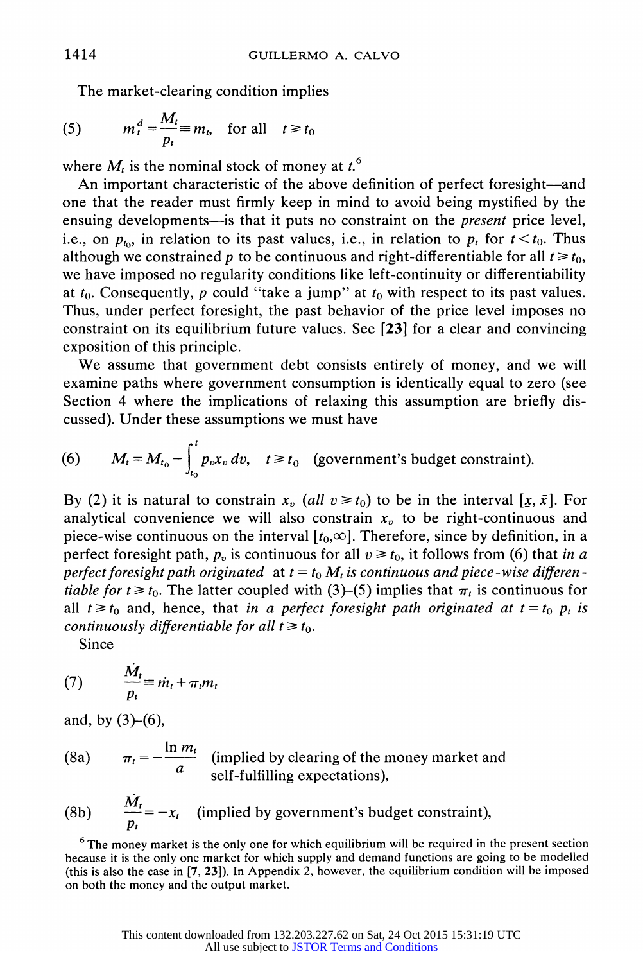**The market-clearing condition implies** 

(5) 
$$
m_t^d = \frac{M_t}{p_t} \equiv m_t, \text{ for all } t \geq t_0
$$

where  $M_t$  is the nominal stock of money at  $t$ .<sup>6</sup>

**An important characteristic of the above definition of perfect foresight-and one that the reader must firmly keep in mind to avoid being mystified by the**  ensuing developments—is that it puts no constraint on the *present* price level, i.e., on  $p_{\mu}$ , in relation to its past values, i.e., in relation to  $p_t$  for  $t \le t_0$ . Thus **although we constrained p to be continuous and right-differentiable for all**  $t \geq t_0$ **, we have imposed no regularity conditions like left-continuity or differentiability**  at  $t_0$ . Consequently,  $p$  could "take a jump" at  $t_0$  with respect to its past values. **Thus, under perfect foresight, the past behavior of the price level imposes no constraint on its equilibrium future values. See [23] for a clear and convincing exposition of this principle.** 

**We assume that government debt consists entirely of money, and we will examine paths where government consumption is identically equal to zero (see Section 4 where the implications of relaxing this assumption are briefly discussed). Under these assumptions we must have** 

(6) 
$$
M_t = M_{t_0} - \int_{t_0}^t p_v x_v dv
$$
,  $t \ge t_0$  (government's budget constraint).

By (2) it is natural to constrain  $x_v$  (all  $v \ge t_0$ ) to be in the interval [x,  $\bar{x}$ ]. For analytical convenience we will also constrain  $x<sub>n</sub>$  to be right-continuous and piece-wise continuous on the interval  $[t_0, \infty]$ . Therefore, since by definition, in a **perfect foresight path, p<sub>n</sub> is continuous for all**  $v \ge t_0$ **, it follows from (6) that in a perfect foresight path originated** at  $t = t_0 M_t$  is continuous and piece-wise differen*tiable for t*  $\ge t_0$ . The latter coupled with (3)–(5) implies that  $\pi_t$  is continuous for all  $t \geq t_0$  and, hence, that in a perfect foresight path originated at  $t = t_0$   $p_t$  is *continuously differentiable for all*  $t \geq t_0$ *.* 

**Since** 

$$
(7) \qquad \frac{\dot{M}_t}{p_t} \equiv \dot{m}_t + \pi_t m_t
$$

**and, by (3)-(6),** 

(8a) 
$$
\pi_t = -\frac{\ln m_t}{a}
$$
 (implied by clearing of the money market and  
self-fulfilling expectations),

(8b) 
$$
\frac{\dot{M}_t}{p_t} = -x_t
$$
 (implied by government's budget constraint),

**<sup>6</sup>The money market is the only one for which equilibrium will be required in the present section because it is the only one market for which supply and demand functions are going to be modelled (this is also the case in [7, 23]). In Appendix 2, however, the equilibrium condition will be imposed on both the money and the output market.**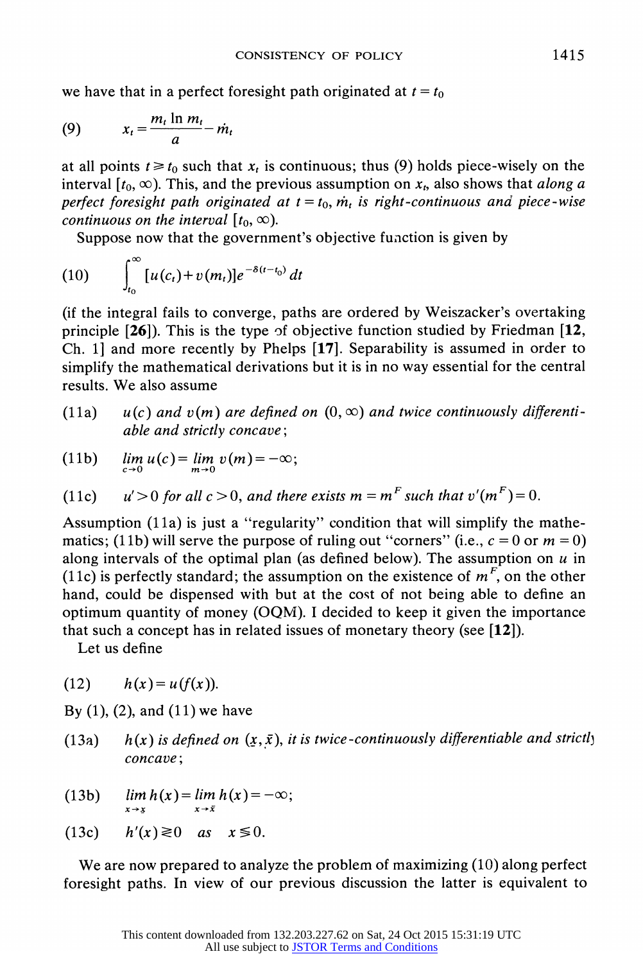we have that in a perfect foresight path originated at  $t = t_0$ 

$$
(9) \t x_t = \frac{m_t \ln m_t}{a} - \dot{m}_t
$$

at all points  $t \ge t_0$  such that  $x_t$  is continuous; thus (9) holds piece-wisely on the interval  $[t_0, \infty)$ . This, and the previous assumption on  $x_t$ , also shows that *along a* perfect foresight path originated at  $t = t_0$ ,  $\dot{m}_t$  is right-continuous and piece-wise *continuous on the interval*  $[t_0, \infty)$ .

**Suppose now that the government's objective function is given by** 

(10) 
$$
\int_{t_0}^{\infty} [u(c_t) + v(m_t)] e^{-\delta(t-t_0)} dt
$$

**(if the integral fails to converge, paths are ordered by Weiszacker's overtaking principle [26]). This is the type of objective function studied by Friedman [12, Ch. 1] and more recently by Phelps [17]. Separability is assumed in order to simplify the mathematical derivations but it is in no way essential for the central results. We also assume** 

(11a)  $u(c)$  and  $v(m)$  are defined on  $(0, \infty)$  and twice continuously differenti**able and strictly concave;** 

(11b) 
$$
\lim_{c \to 0} u(c) = \lim_{m \to 0} v(m) = -\infty;
$$

(11c) 
$$
u' > 0
$$
 for all  $c > 0$ , and there exists  $m = mF$  such that  $v'(mF) = 0$ .

Assumption (11a) is just a "regularity" condition that will simplify the mathematics; (11b) will serve the purpose of ruling out "corners" (i.e.,  $c = 0$  or  $m = 0$ ) along intervals of the optimal plan (as defined below). The assumption on  $u$  in (11c) is perfectly standard; the assumption on the existence of  $m<sup>F</sup>$ , on the other **hand, could be dispensed with but at the cost of not being able to define an optimum quantity of money (OQM). I decided to keep it given the importance that such a concept has in related issues of monetary theory (see [12]).** 

**Let us define** 

(12)  $h(x) = u(f(x))$ .

**By (1), (2), and (11)we have** 

- (13a)  $h(x)$  is defined on  $(x, \bar{x})$ , it is twice-continuously differentiable and strictly **concave;**
- (13b)  $\lim_{x \to x} h(x) = \lim_{x \to \bar{x}} h(x) = -\infty;$
- $h'(x) \ge 0$  as  $x \le 0$ .

**We are now prepared to analyze the problem of maximizing (10) along perfect foresight paths. In view of our previous discussion the latter is equivalent to**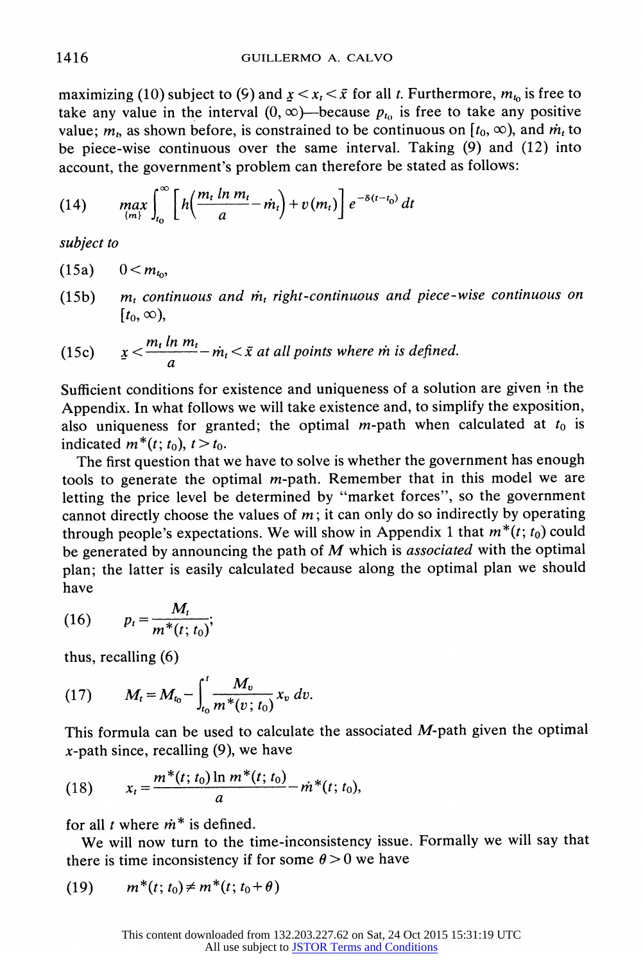maximizing (10) subject to (9) and  $x < x_t < \bar{x}$  for all t. Furthermore,  $m_{t_0}$  is free to take any value in the interval  $(0, \infty)$ —because  $p_{t_0}$  is free to take any positive **value;**  $m<sub>t</sub>$ , as shown before, is constrained to be continuous on  $[t<sub>0</sub>, \infty)$ , and  $\dot{m}<sub>t</sub>$  to **be piece-wise continuous over the same interval. Taking (9) and (12) into account, the government's problem can therefore be stated as follows:** 

(14) 
$$
\max_{\{m\}} \int_{t_0}^{\infty} \left[ h \left( \frac{m_t \ln m_t}{a} - \dot{m}_t \right) + v(m_t) \right] e^{-\delta (t-t_0)} dt
$$

**subject to** 

 $(15a)$   $0 \leq m_{\text{tot}}$ 

(15b)  $m_t$  continuous and  $\dot{m}_t$  right-continuous and piece-wise continuous on  $[t_0, \infty)$ ,

(15c) 
$$
\underline{x} < \frac{m_t \ln m_t}{a} - \dot{m}_t < \bar{x} \text{ at all points where } \dot{m} \text{ is defined.}
$$

**Sufficient conditions for existence and uniqueness of a solution are given in the Appendix. In what follows we will take existence and, to simplify the exposition,**  also uniqueness for granted; the optimal *m*-path when calculated at  $t_0$  is **indicated**  $m^*(t; t_0)$ ,  $t > t_0$ .

**The first question that we have to solve is whether the government has enough tools to generate the optimal m-path. Remember that in this model we are letting the price level be determined by "market forces", so the government cannot directly choose the values of m; it can only do so indirectly by operating**  through people's expectations. We will show in Appendix 1 that  $m^*(t; t_0)$  could **be generated by announcing the path of M which is associated with the optimal plan; the latter is easily calculated because along the optimal plan we should have** 

$$
(16) \qquad p_t = \frac{M_t}{m^*(t; t_0)};
$$

**thus, recalling (6)** 

(17) 
$$
M_t = M_{t_0} - \int_{t_0}^t \frac{M_v}{m^*(v; t_0)} x_v dv.
$$

**This formula can be used to calculate the associated M-path given the optimal x-path since, recalling (9), we have** 

(18) 
$$
x_t = \frac{m^*(t; t_0) \ln m^*(t; t_0)}{a} - m^*(t; t_0),
$$

for all  $t$  where  $\dot{m}^*$  is defined.

**We will now turn to the time-inconsistency issue. Formally we will say that**  there is time inconsistency if for some  $\theta > 0$  we have

$$
(19) \qquad m^*(t; t_0) \neq m^*(t; t_0 + \theta)
$$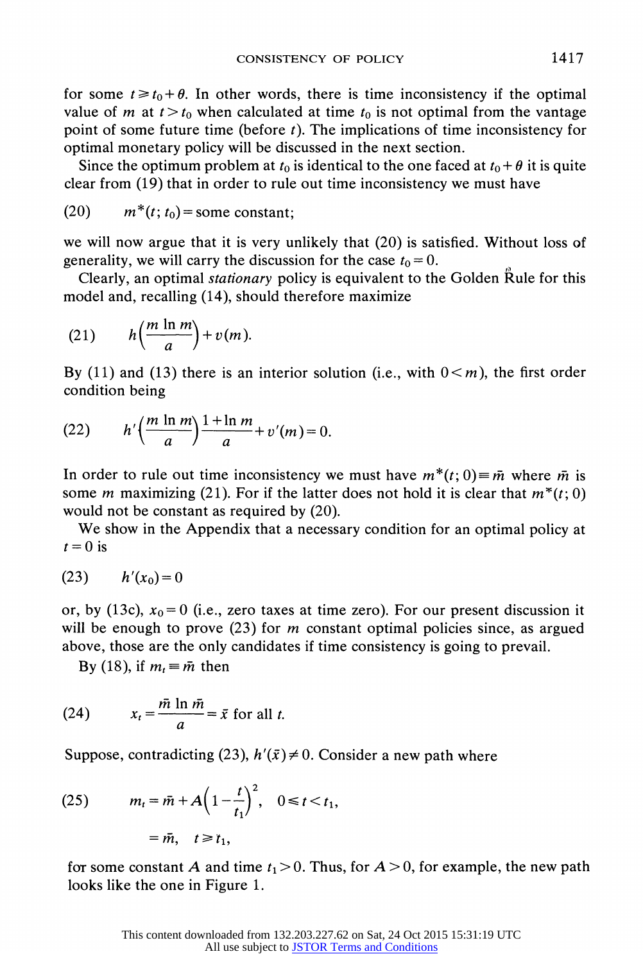for some  $t \geq t_0 + \theta$ . In other words, there is time inconsistency if the optimal value of *m* at  $t > t_0$  when calculated at time  $t_0$  is not optimal from the vantage **point of some future time (before t). The implications of time inconsistency for optimal monetary policy will be discussed in the next section.** 

Since the optimum problem at  $t_0$  is identical to the one faced at  $t_0 + \theta$  it is quite **clear from (19) that in order to rule out time inconsistency we must have** 

(20) 
$$
m^*(t; t_0) = \text{some constant};
$$

**we will now argue that it is very unlikely that (20) is satisfied. Without loss of**  generality, we will carry the discussion for the case  $t_0 = 0$ .

**Clearly, an optimal stationary policy is equivalent to the Golden Rule for this model and, recalling (14), should therefore maximize** 

(21) 
$$
h\left(\frac{m \ln m}{a}\right) + v(m).
$$

By (11) and (13) there is an interior solution (i.e., with  $0 \le m$ ), the first order **condition being** 

(22) 
$$
h'\left(\frac{m \ln m}{a}\right) \frac{1 + \ln m}{a} + v'(m) = 0.
$$

In order to rule out time inconsistency we must have  $m^*(t; 0) = \overline{m}$  where  $\overline{m}$  is some *m* maximizing (21). For if the latter does not hold it is clear that  $m^*(t; 0)$ **would not be constant as required by (20).** 

**We show in the Appendix that a necessary condition for an optimal policy at**   $t = 0$  is

$$
(23) \qquad h'(x_0)=0
$$

or, by  $(13c)$ ,  $x_0 = 0$  (i.e., zero taxes at time zero). For our present discussion it will be enough to prove (23) for *m* constant optimal policies since, as argued **above, those are the only candidates if time consistency is going to prevail.** 

By (18), if  $m_t \equiv \bar{m}$  then

(24) 
$$
x_t = \frac{\bar{m} \ln \bar{m}}{a} = \bar{x} \text{ for all } t.
$$

Suppose, contradicting (23),  $h'(\bar{x}) \neq 0$ . Consider a new path where

(25) 
$$
m_t = \overline{m} + A \left( 1 - \frac{t}{t_1} \right)^2, \quad 0 \le t < t_1,
$$

$$
= \overline{m}, \quad t \ge t_1,
$$

for some constant A and time  $t_1 > 0$ . Thus, for  $A > 0$ , for example, the new path **looks like the one in Figure 1.**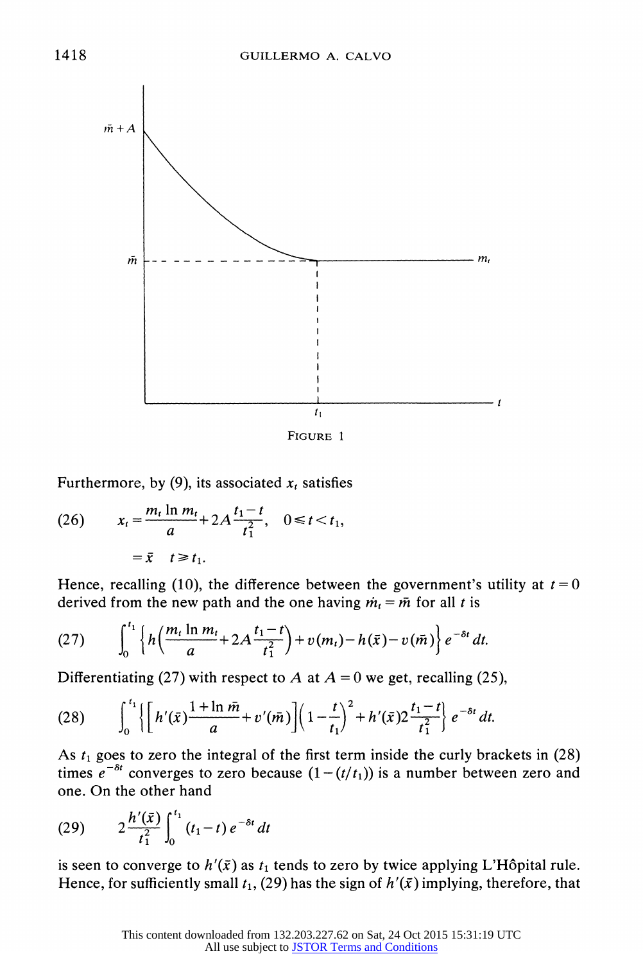

**FIGURE 1** 

Furthermore, by (9), its associated  $x_t$  satisfies

(26) 
$$
x_{t} = \frac{m_{t} \ln m_{t}}{a} + 2A \frac{t_{1} - t}{t_{1}^{2}}, \quad 0 \leq t < t_{1},
$$

$$
= \bar{x} \quad t \geq t_{1}.
$$

Hence, recalling (10), the difference between the government's utility at  $t = 0$ derived from the new path and the one having  $\dot{m}_t = \bar{m}$  for all t is

(27) 
$$
\int_0^{t_1} \left\{ h \left( \frac{m_t \ln m_t}{a} + 2A \frac{t_1 - t}{t_1^2} \right) + v(m_t) - h(\bar{x}) - v(\bar{m}) \right\} e^{-\delta t} dt.
$$

Differentiating (27) with respect to A at  $A = 0$  we get, recalling (25),

(28) 
$$
\int_0^{t_1} \left\{ \left[ h'(\bar{x}) \frac{1 + \ln \bar{m}}{a} + v'(\bar{m}) \right] \left( 1 - \frac{t}{t_1} \right)^2 + h'(\bar{x}) 2 \frac{t_1 - t}{t_1^2} \right\} e^{-\delta t} dt.
$$

As  $t_1$  goes to zero the integral of the first term inside the curly brackets in  $(28)$ times  $e^{-\delta t}$  converges to zero because  $(1 - (t/t_1))$  is a number between zero and **one. On the other hand** 

(29) 
$$
2\frac{h'(\bar{x})}{t_1^2}\int_0^{t_1}(t_1-t)\,e^{-\delta t}\,dt
$$

is seen to converge to  $h'(\bar{x})$  as  $t_1$  tends to zero by twice applying L'Hôpital rule. Hence, for sufficiently small  $t_1$ , (29) has the sign of  $h'(\bar{x})$  implying, therefore, that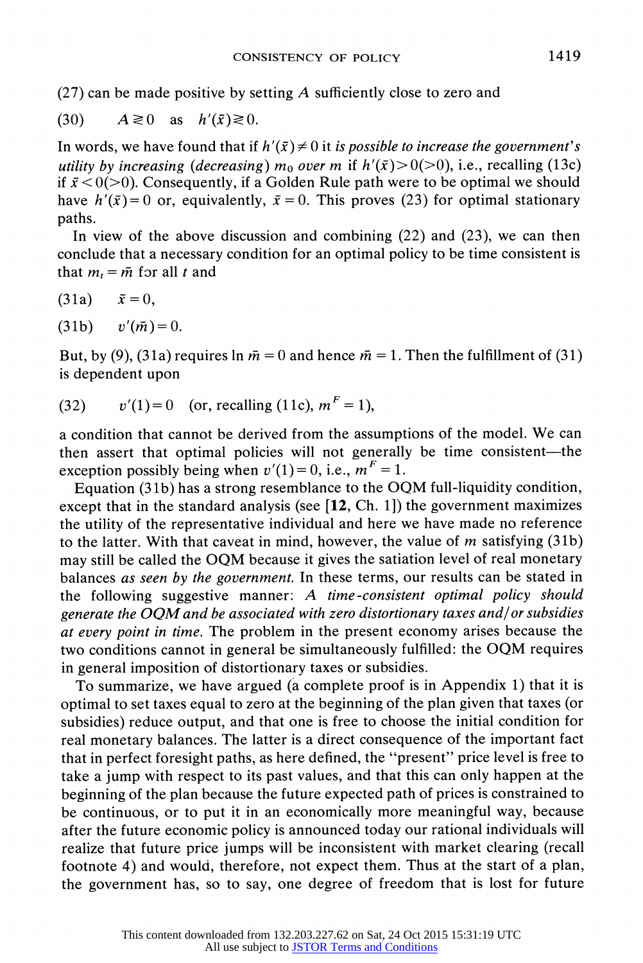**(27) can be made positive by setting A sufficiently close to zero and** 

$$
(30) \tA \gtrless 0 \t as \t h'(\bar{x}) \gtrless 0.
$$

In words, we have found that if  $h'(\bar{x}) \neq 0$  it is possible to increase the government's *utility by increasing (decreasing)*  $m_0$  *over m if h'(* $\bar{x}$ *)* > 0(>0), i.e., recalling (13c) if  $\bar{x} < 0$ ( $> 0$ ). Consequently, if a Golden Rule path were to be optimal we should have  $h'(\bar{x})=0$  or, equivalently,  $\bar{x}=0$ . This proves (23) for optimal stationary **paths.** 

**In view of the above discussion and combining (22) and (23), we can then conclude that a necessary condition for an optimal policy to be time consistent is that**  $m_t = \overline{m}$  for all t and

$$
(31a) \t\t \bar{x}=0,
$$

 $(31b)$   $v'(\bar{m})=0.$ 

But, by (9), (31a) requires  $\ln \overline{m} = 0$  and hence  $\overline{m} = 1$ . Then the fulfillment of (31) **is dependent upon** 

(32)  $v'(1)=0$  (or, recalling (11c),  $m^F = 1$ ),

**a condition that cannot be derived from the assumptions of the model. We can then assert that optimal policies will not generally be time consistent-the**  exception possibly being when  $v'(1) = 0$ , i.e.,  $m<sup>F</sup> = 1$ .

**Equation (3 lb) has a strong resemblance to the OQM full-liquidity condition, except that in the standard analysis (see [12, Ch. 1]) the government maximizes the utility of the representative individual and here we have made no reference to the latter. With that caveat in mind, however, the value of m satisfying (31b) may still be called the OQM because it gives the satiation level of real monetary balances as seen by the government. In these terms, our results can be stated in the following suggestive manner; A time-consistent optimal policy should generate the OQM and be associated with zero distortionary taxes and/or subsidies at every point in time. The problem in the present economy arises because the two conditions cannot in general be simultaneously fulfilled: the OQM requires in general imposition of distortionary taxes or subsidies.** 

**To summarize, we have argued (a complete proof is in Appendix 1) that it is optimal to set taxes equal to zero at the beginning of the plan given that taxes (or subsidies) reduce output, and that one is free to choose the initial condition for real monetary balances. The latter is a direct consequence of the important fact that in perfect foresight paths, as here defined, the "present" price level is free to take a jump with respect to its past values, and that this can only happen at the beginning of the plan because the future expected path of prices is constrained to be continuous, or to put it in an economically more meaningful way, because after the future economic policy is announced today our rational individuals will realize that future price jumps will be inconsistent with market clearing (recall footnote 4) and would, therefore, not expect them. Thus at the start of a plan, the government has, so to say, one degree of freedom that is lost for future**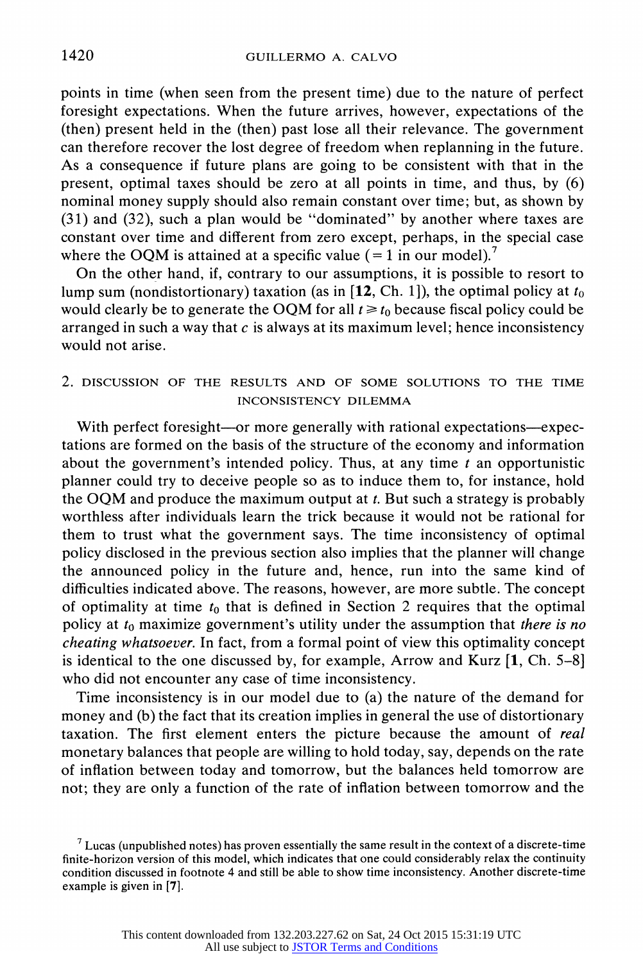**points in time (when seen from the present time) due to the nature of perfect foresight expectations. When the future arrives, however, expectations of the (then) present held in the (then) past lose all their relevance. The government can therefore recover the lost degree of freedom when replanning in the future. As a consequence if future plans are going to be consistent with that in the present, optimal taxes should be zero at all points in time, and thus, by (6) nominal money supply should also remain constant over time; but, as shown by (31) and (32), such a plan would be "dominated" by another where taxes are constant over time and different from zero except, perhaps, in the special case**  where the OQM is attained at a specific value  $(= 1 \text{ in our model})^7$ 

**On the other hand, if, contrary to our assumptions, it is possible to resort to lump sum (nondistortionary) taxation (as in [12, Ch. 1]), the optimal policy at to**  would clearly be to generate the OQM for all  $t \geq t_0$  because fiscal policy could be **arranged in such a way that c is always at its maximum level; hence inconsistency would not arise.** 

## **2. DISCUSSION OF THE RESULTS AND OF SOME SOLUTIONS TO THE TIME INCONSISTENCY DILEMMA**

With perfect foresight—or more generally with rational expectations—expec**tations are formed on the basis of the structure of the economy and information about the government's intended policy. Thus, at any time t an opportunistic planner could try to deceive people so as to induce them to, for instance, hold the OQM and produce the maximum output at t. But such a strategy is probably worthless after individuals learn the trick because it would not be rational for them to trust what the government says. The time inconsistency of optimal policy disclosed in the previous section also implies that the planner will change the announced policy in the future and, hence, run into the same kind of difficulties indicated above. The reasons, however, are more subtle. The concept**  of optimality at time  $t_0$  that is defined in Section 2 requires that the optimal policy at  $t_0$  maximize government's utility under the assumption that *there is no* **cheating whatsoever. In fact, from a formal point of view this optimality concept is identical to the one discussed by, for example, Arrow and Kurz [1, Ch. 5-8] who did not encounter any case of time inconsistency.** 

**Time inconsistency is in our model due to (a) the nature of the demand for money and (b) the fact that its creation implies in general the use of distortionary taxation. The first element enters the picture because the amount of real monetary balances that people are willing to hold today, say, depends on the rate of inflation between today and tomorrow, but the balances held tomorrow are not; they are only a function of the rate of inflation between tomorrow and the** 

**<sup>7</sup> Lucas (unpublished notes) has proven essentially the same result in the context of a discrete-time finite-horizon version of this model, which indicates that one could considerably relax the continuity condition discussed in footnote 4 and still be able to show time inconsistency. Another discrete-time example is given in [7].**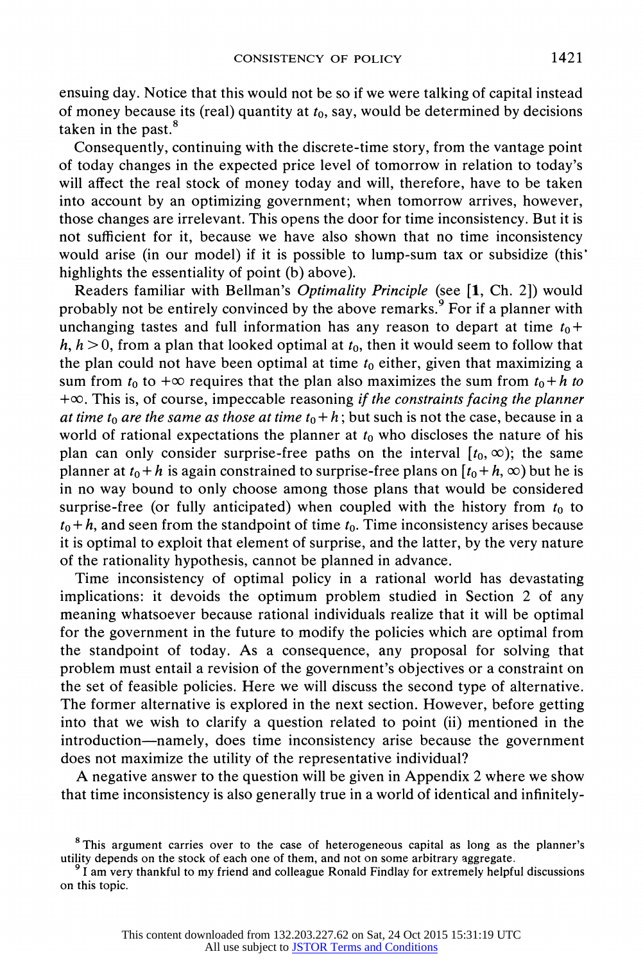**ensuing day. Notice that this would not be so if we were talking of capital instead of money because its (real) quantity at to, say, would be determined by decisions taken in the past.8** 

**Consequently, continuing with the discrete-time story, from the vantage point of today changes in the expected price level of tomorrow in relation to today's will affect the real stock of money today and will, therefore, have to be taken into account by an optimizing government; when tomorrow arrives, however, those changes are irrelevant. This opens the door for time inconsistency. But it is not sufficient for it, because we have also shown that no time inconsistency would arise (in our model) if it is possible to lump-sum tax or subsidize (this' highlights the essentiality of point (b) above).** 

**Readers familiar with Bellman's Optimality Principle (see [1, Ch. 2]) would**  probably not be entirely convinced by the above remarks.<sup>9</sup> For if a planner with unchanging tastes and full information has any reason to depart at time  $t_0$ +  $h, h > 0$ , from a plan that looked optimal at  $t<sub>0</sub>$ , then it would seem to follow that the plan could not have been optimal at time  $t_0$  either, given that maximizing a sum from  $t_0$  to  $+\infty$  requires that the plan also maximizes the sum from  $t_0+h$  to  $+\infty$ . This is, of course, impeccable reasoning *if the constraints facing the planner* at time t<sub>0</sub> are the same as those at time  $t_0 + h$ ; but such is not the case, because in a world of rational expectations the planner at  $t_0$  who discloses the nature of his plan can only consider surprise-free paths on the interval  $[t_0, \infty)$ ; the same **planner at**  $t_0 + h$  **is again constrained to surprise-free plans on**  $[t_0 + h, \infty)$  **but he is in no way bound to only choose among those plans that would be considered**  surprise-free (or fully anticipated) when coupled with the history from  $t_0$  to  $t_0 + h$ , and seen from the standpoint of time  $t_0$ . Time inconsistency arises because **it is optimal to exploit that element of surprise, and the latter, by the very nature of the rationality hypothesis, cannot be planned in advance.** 

**Time inconsistency of optimal policy in a rational world has devastating implications: it devoids the optimum problem studied in Section 2 of any meaning whatsoever because rational individuals realize that it will be optimal for the government in the future to modify the policies which are optimal from the standpoint of today. As a consequence, any proposal for solving that problem must entail a revision of the government's objectives or a constraint on the set of feasible policies. Here we will discuss the second type of alternative. The former alternative is explored in the next section. However, before getting into that we wish to clarify a question related to point (ii) mentioned in the introduction-namely, does time inconsistency arise because the government does not maximize the utility of the representative individual?** 

**A negative answer to the question will be given in Appendix 2 where we show that time inconsistency is also generally true in a world of identical and infinitely-**

**<sup>8</sup>This argument carries over to the case of heterogeneous capital as long as the planner's utility depends on the stock of each one of them, and not on some arbitrary aggregate.** 

**<sup>9</sup> I am very thankful to my friend and colleague Ronald Findlay for extremely helpful discussions on this topic.**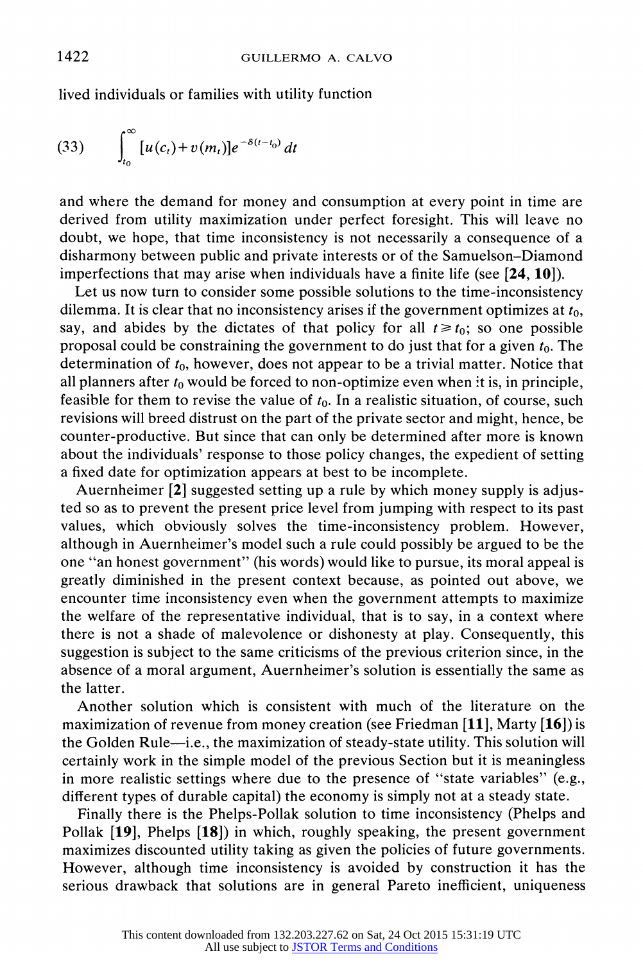**lived individuals or families with utility function** 

(33) 
$$
\int_{t_0}^{\infty} [u(c_t) + v(m_t)] e^{-\delta (t-t_0)} dt
$$

**and where the demand for money and consumption at every point in time are derived from utility maximization under perfect foresight. This will leave no doubt, we hope, that time inconsistency is not necessarily a consequence of a disharmony between public and private interests or of the Samuelson-Diamond imperfections that may arise when individuals have a finite life (see [24, 10]).** 

**Let us now turn to consider some possible solutions to the time-inconsistency dilemma. It is clear that no inconsistency arises if the government optimizes at to,**  say, and abides by the dictates of that policy for all  $t \geq t_0$ ; so one possible proposal could be constraining the government to do just that for a given  $t_0$ . The determination of  $t_0$ , however, does not appear to be a trivial matter. Notice that all planners after  $t_0$  would be forced to non-optimize even when it is, in principle, **feasible for them to revise the value of to. In a realistic situation, of course, such revisions will breed distrust on the part of the private sector and might, hence, be counter-productive. But since that can only be determined after more is known about the individuals' response to those policy changes, the expedient of setting a fixed date for optimization appears at best to be incomplete.** 

**Auernheimer [2] suggested setting up a rule by which money supply is adjusted so as to prevent the present price level from jumping with respect to its past values, which obviously solves the time-inconsistency problem. However, although in Auernheimer's model such a rule could possibly be argued to be the one "an honest government" (his words) would like to pursue, its moral appeal is greatly diminished in the present context because, as pointed out above, we encounter time inconsistency even when the government attempts to maximize the welfare of the representative individual, that is to say, in a context where there is not a shade of malevolence or dishonesty at play. Consequently, this suggestion is subject to the same criticisms of the previous criterion since, in the absence of a moral argument, Auernheimer's solution is essentially the same as the latter.** 

**Another solution which is consistent with much of the literature on the maximization of revenue from money creation (see Friedman [11], Marty [16]) is the Golden Rule-i.e., the maximization of steady-state utility. This solution will certainly work in the simple model of the previous Section but it is meaningless in more realistic settings where due to the presence of "state variables" (e.g., different types of durable capital) the economy is simply not at a steady state.** 

**Finally there is the Phelps-Pollak solution to time inconsistency (Phelps and Pollak [19], Phelps [18]) in which, roughly speaking, the present government maximizes discounted utility taking as given the policies of future governments. However, although time inconsistency is avoided by construction it has the serious drawback that solutions are in general Pareto inefficient, uniqueness**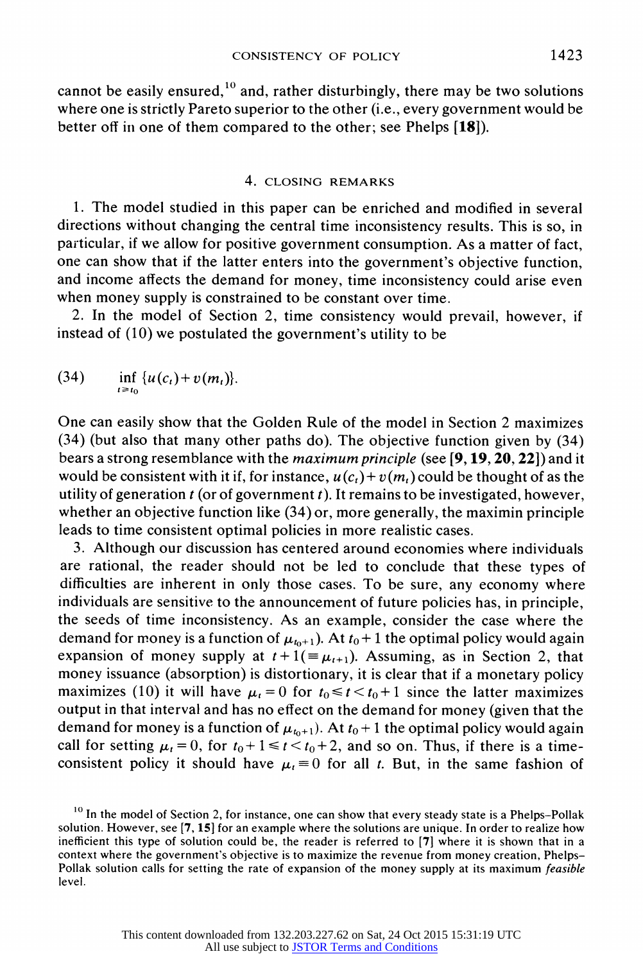**cannot be easily ensured,'0 and, rather disturbingly, there may be two solutions where one is strictly Pareto superior to the other (i.e., every government would be better off in one of them compared to the other; see Phelps [18]).** 

### **4. CLOSING REMARKS**

**1. The model studied in this paper can be enriched and modified in several directions without changing the central time inconsistency results. This is so, in particular, if we allow for positive government consumption. As a matter of fact, one can show that if the latter enters into the government's objective function, and income affects the demand for money, time inconsistency could arise even when money supply is constrained to be constant over time.** 

**2. In the model of Section 2, time consistency would prevail, however, if instead of (10) we postulated the government's utility to be** 

(34) 
$$
\inf_{t \geq t_0} \{u(c_t) + v(m_t)\}.
$$

**One can easily show that the Golden Rule of the model in Section 2 maximizes (34) (but also that many other paths do). The objective function given by (34) bears a strong resemblance with the maximum principle (see [9, 19, 20, 22]) and it would be consistent with it if, for instance,**  $u(c_t) + v(m_t)$  **could be thought of as the utility of generation t (or of government t). It remains to be investigated, however, whether an objective function like (34) or, more generally, the maximin principle leads to time consistent optimal policies in more realistic cases.** 

**3. Although our discussion has centered around economies where individuals are rational, the reader should not be led to conclude that these types of difficulties are inherent in only those cases. To be sure, any economy where individuals are sensitive to the announcement of future policies has, in principle, the seeds of time inconsistency. As an example, consider the case where the**  demand for money is a function of  $\mu_{t_0+1}$ . At  $t_0+1$  the optimal policy would again expansion of money supply at  $t + 1 \equiv \mu_{t+1}$ . Assuming, as in Section 2, that **money issuance (absorption) is distortionary, it is clear that if a monetary policy maximizes** (10) it will have  $\mu_t = 0$  for  $t_0 \le t \le t_0 + 1$  since the latter maximizes **output in that interval and has no effect on the demand for money (given that the**  demand for money is a function of  $\mu_{t_0+1}$ . At  $t_0+1$  the optimal policy would again call for setting  $\mu_t = 0$ , for  $t_0 + 1 \le t < t_0 + 2$ , and so on. Thus, if there is a timeconsistent policy it should have  $\mu_t = 0$  for all t. But, in the same fashion of

**<sup>10</sup> In the model of Section 2, for instance, one can show that every steady state is a Phelps-Pollak solution. However, see [7, 15] for an example where the solutions are unique. In order to realize how inefficient this type of solution could be, the reader is referred to [7] where it is shown that in a context where the government's objective is to maximize the revenue from money creation, Phelps-Pollak solution calls for setting the rate of expansion of the money supply at its maximum feasible level.**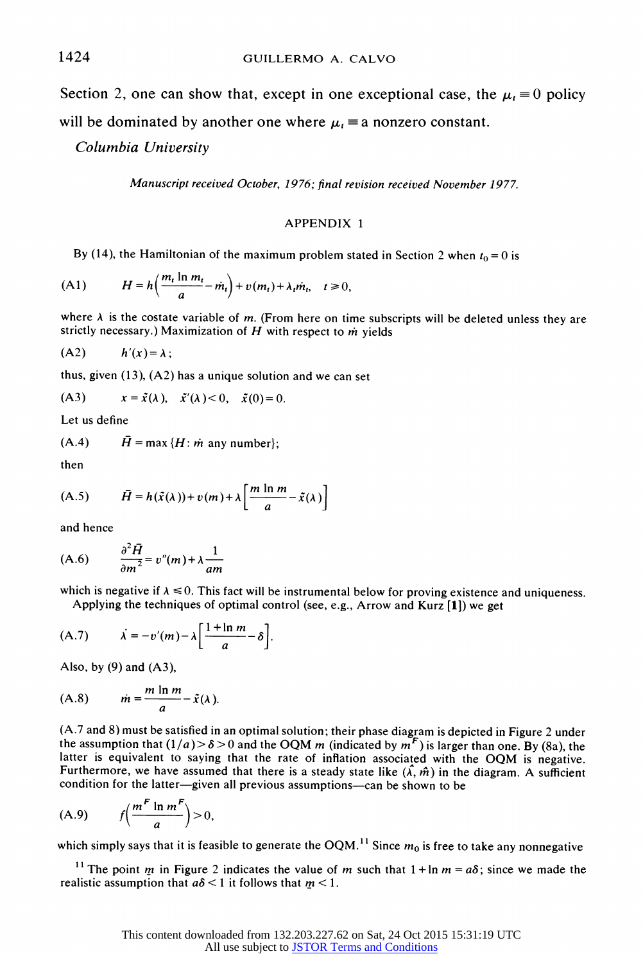Section 2, one can show that, except in one exceptional case, the  $\mu_i = 0$  policy will be dominated by another one where  $\mu_t \equiv$  a nonzero constant.

**Columbia University** 

**Manuscript received October, 1976; final revision received November 1977.** 

### **APPENDIX 1**

By (14), the Hamiltonian of the maximum problem stated in Section 2 when  $t_0 = 0$  is

(A1) 
$$
H = h\left(\frac{m_t \ln m_t}{a} - \dot{m}_t\right) + v(m_t) + \lambda_t \dot{m}_t, \quad t \ge 0,
$$

where  $\lambda$  is the costate variable of m. (From here on time subscripts will be deleted unless they are **strictly necessary.) Maximization of H with respect to tm yields** 

 $h'(x) = \lambda$ ;

**thus, given (13), (A2) has a unique solution and we can set** 

(A3) 
$$
x = \tilde{x}(\lambda), \quad \tilde{x}'(\lambda) < 0, \quad \tilde{x}(0) = 0.
$$

**Let us define** 

 $(A.4)$   $\bar{H} = \max \{H : m \text{ any number}\};$ 

**then** 

(A.5) 
$$
\bar{H} = h(\tilde{x}(\lambda)) + v(m) + \lambda \left[ \frac{m \ln m}{a} - \tilde{x}(\lambda) \right]
$$

**and hence** 

$$
(A.6) \qquad \frac{\partial^2 \vec{H}}{\partial m^2} = v''(m) + \lambda \frac{1}{am}
$$

which is negative if  $\lambda \leq 0$ . This fact will be instrumental below for proving existence and uniqueness. **Applying the techniques of optimal control (see, e.g., Arrow and Kurz [1]) we get** 

$$
(A.7) \qquad \lambda = -v'(m) - \lambda \left[ \frac{1 + \ln m}{a} - \delta \right].
$$

**Also, by (9) and (A3),** 

**(A.8) mmlnm a** 

**(A.7 and 8) must be satisfied in an optimal solution; their phase diagram is depicted in Figure 2 under**  the assumption that  $(1/a) > \delta > 0$  and the OQM m (indicated by  $m^F$ ) is larger than one. By (8a), the latter is equivalent to saying that the rate of inflation associated with the OQM is negative. Furthermore, we have assumed that there is a steady state like  $(\hat{\lambda}, \hat{m})$  in the diagram. A sufficient condition for the latter-given all previous assumptions-can be shown to be

$$
(A.9) \t f\left(\frac{m^F \ln m^F}{a}\right) > 0,
$$

which simply says that it is feasible to generate the  $OQM<sup>11</sup>$  Since  $m<sub>0</sub>$  is free to take any nonnegative

<sup>11</sup> The point m in Figure 2 indicates the value of m such that  $1 + \ln m = a\delta$ ; since we made the **realistic assumption that**  $a\delta < 1$  **it follows that**  $m < 1$ **.**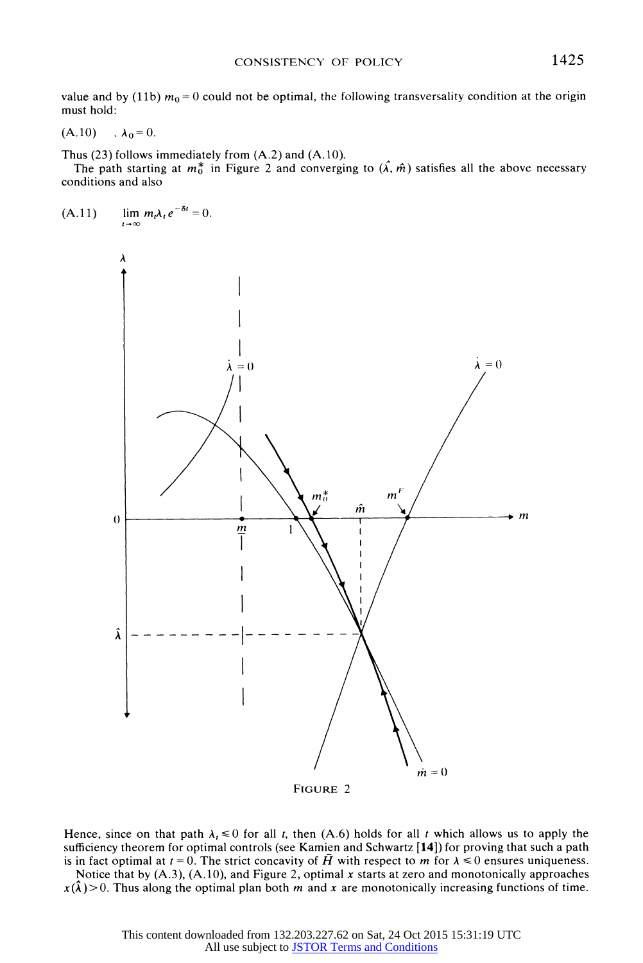value and by (11b)  $m_0 = 0$  could not be optimal, the following transversality condition at the origin **must hold:** 

 $(A.10) \quad A_0 = 0.$ 

**Thus (23) follows immediately from (A.2) and (A. 10).** 

The path starting at  $m_0^*$  in Figure 2 and converging to  $(\hat{\lambda}, \hat{m})$  satisfies all the above necessary **conditions and also** 



Hence, since on that path  $\lambda_t \le 0$  for all t, then (A.6) holds for all t which allows us to apply the **sufficiency theorem for optimal controls (see Kamien and Schwartz [14]) for proving that such a path**  is in fact optimal at  $t = 0$ . The strict concavity of  $\overline{H}$  with respect to *m* for  $\lambda \le 0$  ensures uniqueness. **Notice that by (A.3), (A.10), and Figure 2, optimal x starts at zero and monotonically approaches** 

 $x(\hat{\lambda})>0$ . Thus along the optimal plan both m and x are monotonically increasing functions of time.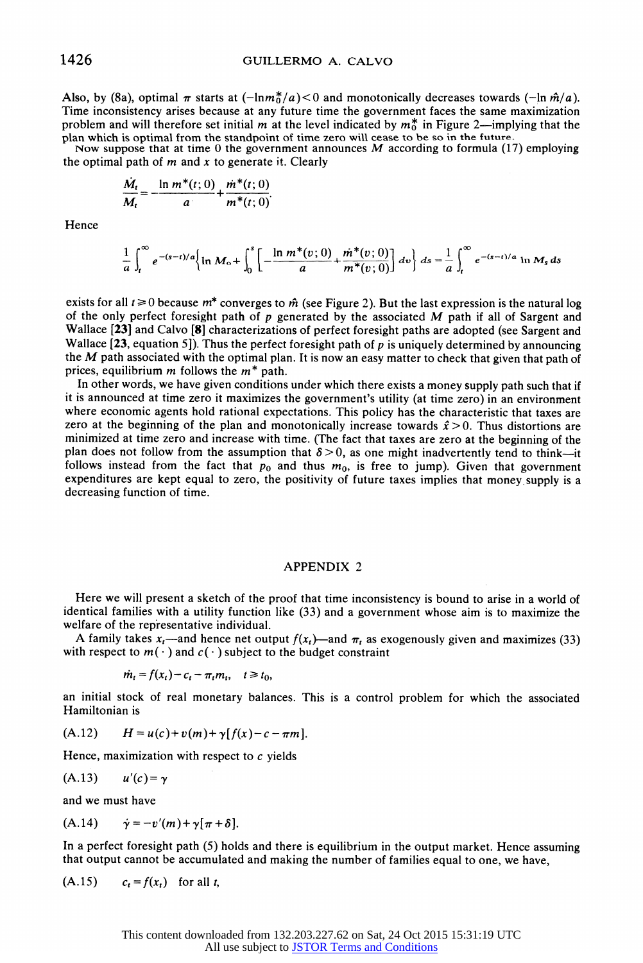Also, by (8a), optimal  $\pi$  starts at  $(-\ln m_0^*/a) < 0$  and monotonically decreases towards  $(-\ln \hat{m}/a)$ . **Time inconsistency arises because at any future time the government faces the same maximization**  problem and will therefore set initial m at the level indicated by  $m_0^*$  in Figure 2—implying that the **plan which is optimal from the standpoint of time zero will cease to be so in the future.** 

**Now suppose that at time 0 the government announces M according to formula (17) employing the optimal path of m and x to generate it. Clearly** 

$$
\frac{\dot{M}_t}{M_t} = -\frac{\ln m^*(t;0)}{a} + \frac{\dot{m}^*(t;0)}{m^*(t;0)}.
$$

**Hence** 

$$
\frac{1}{a} \int_{t}^{\infty} e^{-(s-t)/a} \Biggl\{ \ln M_{\rm o} + \int_{0}^{s} \Biggl[ - \frac{\ln m^{*}(v;0)}{a} + \frac{m^{*}(v;0)}{m^{*}(v;0)} \Biggr] dv \Biggr\} ds = \frac{1}{a} \int_{t}^{\infty} e^{-(s-t)/a} \ln M_{\rm s} ds
$$

**exists for all**  $t \ge 0$  **because**  $m^*$  **converges to**  $\hat{m}$  **(see Figure 2). But the last expression is the natural log of the only perfect foresight path of p generated by the associated M path if all of Sargent and Wallace [23] and Calvo [8] characterizations of perfect foresight paths are adopted (see Sargent and Wallace [23, equation 5]). Thus the perfect foresight path of p is uniquely determined by announcing the M path associated with the optimal plan. It is now an easy matter to check that given that path of prices, equilibrium m follows the m\* path.** 

**In other words, we have given conditions under which there exists a money supply path such that if it is announced at time zero it maximizes the government's utility (at time zero) in an environment where economic agents hold rational expectations. This policy has the characteristic that taxes are**  zero at the beginning of the plan and monotonically increase towards  $\hat{x} > 0$ . Thus distortions are **minimized at time zero and increase with time. (The fact that taxes are zero at the beginning of the plan does not follow from the assumption that**  $\delta > 0$ **, as one might inadvertently tend to think-it** follows instead from the fact that  $p_0$  and thus  $m_0$ , is free to jump). Given that government **expenditures are kept equal to zero, the positivity of future taxes implies that money-supply is a decreasing function of time.** 

#### **APPENDIX 2**

**Here we will present a sketch of the proof that time inconsistency is bound to arise in a world of identical families with a utility function like (33) and a government whose aim is to maximize the welfare of the representative individual.** 

A family takes  $x_t$ —and hence net output  $f(x_t)$ —and  $\pi_t$  as exogenously given and maximizes (33) with respect to  $m(\cdot)$  and  $c(\cdot)$  subject to the budget constraint

$$
\dot{m}_t = f(x_t) - c_t - \pi_t m_t, \quad t \geq t_0,
$$

**an initial stock of real monetary balances. This is a control problem for which the associated Hamiltonian is** 

(A.12) 
$$
H = u(c) + v(m) + \gamma[f(x) - c - \pi m].
$$

**Hence, maximization with respect to c yields** 

$$
(A.13) \qquad u'(c) = \gamma
$$

**and we must have** 

$$
(A.14) \qquad \dot{\gamma} = -v'(m) + \gamma[\pi + \delta].
$$

**In a perfect foresight path (5) holds and there is equilibrium in the output market. Hence assuming that output cannot be accumulated and making the number of families equal to one, we have,** 

$$
(A.15) \t ct = f(xt) \t for all t,
$$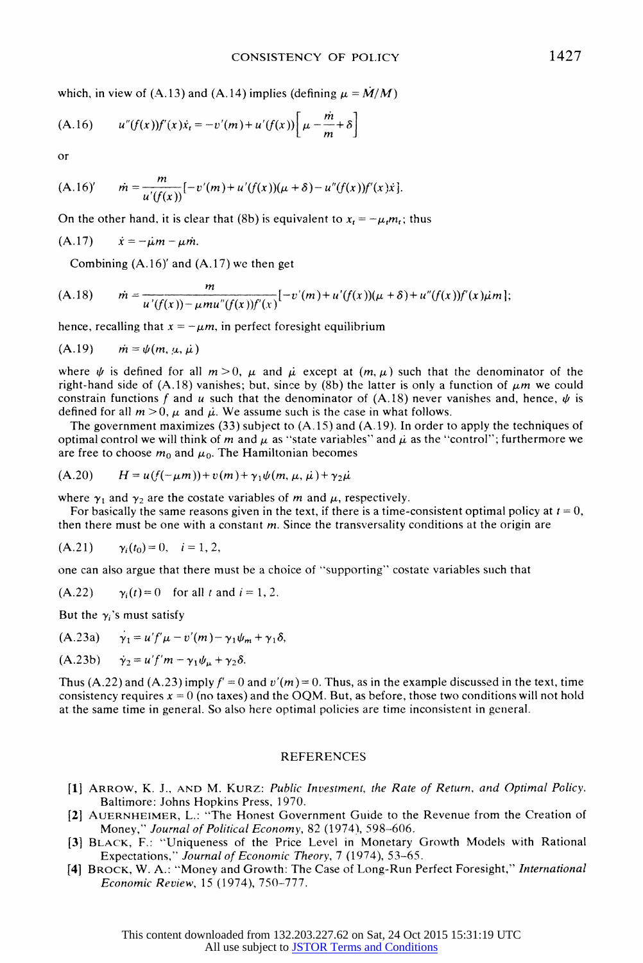which, in view of (A.13) and (A.14) implies (defining  $\mu = \dot{M}/M$ )

(A.16) 
$$
u''(f(x))f'(x)\dot{x}_t = -v'(m) + u'(f(x))\left[\mu - \frac{\dot{m}}{m} + \delta\right]
$$

**or** 

(A.16)' 
$$
\dot{m} = \frac{m}{u'(f(x))} [-v'(m) + u'(f(x)) (\mu + \delta) - u''(f(x)) f'(x) \dot{x}].
$$

On the other hand, it is clear that (8b) is equivalent to  $x_t = -\mu_t m_t$ ; thus

 $(k + 17)$   $\dot{x} = -\dot{\mu}m - \mu \dot{m}.$ 

**Combining (A. 16)' and (A. 17) we then get** 

(A.18) 
$$
\dot{m} = \frac{m}{u'(f(x)) - \mu m u''(f(x))f'(x)} [-v'(m) + u'(f(x))(\mu + \delta) + u''(f(x))f'(x)\mu m];
$$

hence, recalling that  $x = -\mu m$ , in perfect foresight equilibrium

$$
(A.19) \qquad \dot{m} = \psi(m, \mu, \mu)
$$

where  $\psi$  is defined for all  $m > 0$ ,  $\mu$  and  $\mu$  except at  $(m, \mu)$  such that the denominator of the right-hand side of  $(A.18)$  vanishes; but, since by  $(8b)$  the latter is only a function of  $\mu m$  we could constrain functions f and u such that the denominator of  $(A.18)$  never vanishes and, hence,  $\psi$  is defined for all  $m > 0$ ,  $\mu$  and  $\mu$ . We assume such is the case in what follows.

**The government maximizes (33) subject to (A. 15) and (A. 19). In order to apply the techniques of optimal control we will think of m and**  $\mu$  **as "state variables" and**  $\mu$  **as the "control"; furthermore we** are free to choose  $m_0$  and  $\mu_0$ . The Hamiltonian becomes

(A.20) 
$$
H = u(f(-\mu m)) + v(m) + \gamma_1 \psi(m, \mu, \mu) + \gamma_2 \mu
$$

where  $\gamma_1$  and  $\gamma_2$  are the costate variables of m and  $\mu$ , respectively.

For basically the same reasons given in the text, if there is a time-consistent optimal policy at  $t = 0$ , then there must be one with a constant m. Since the transversality conditions at the origin are

$$
(A.21) \qquad \gamma_i(t_0) = 0, \quad i = 1, 2,
$$

**one can also argue that there must be a choice of "supporting" costate variables suich that** 

$$
(A.22) \qquad \gamma_i(t) = 0 \quad \text{for all } t \text{ and } i = 1, 2.
$$

But the  $\gamma$ <sup>3</sup> must satisfy

$$
(A.23a) \qquad \gamma_1 = u'f'\mu - v'(m) - \gamma_1\psi_m + \gamma_1\delta,
$$

$$
(A.23b) \qquad \dot{\gamma}_2 = u'f'm - \gamma_1\psi_\mu + \gamma_2\delta.
$$

Thus (A.22) and (A.23) imply  $f' = 0$  and  $v'(m) = 0$ . Thus, as in the example discussed in the text, time consistency requires  $x = 0$  (no taxes) and the OQM. But, as before, those two conditions will not hold **at the same time in general. So also here optimal policies are time inconsistent in general.** 

#### **REFERENCES**

- **[11 ARROW, K. J., AND M. KURZ: Public Investment, the Rate of Return, at d Optimal Policy. Baltimore: Johns Hopkins Press, 1970.**
- **[21 AUERNHEIMER, L.: "The Honest Government Guide to the Revenue from the Creation of Money," Jou-nal of Political Economy, 82 (1974), 598-606.**
- **[31 BLACK, F.: "Uniqueness of the Price Level in Monetary Growth Models with Rational**  Expectations," Journal of Economic Theory, 7 (1974), 53-65.
- **[4] BROCK, W. A.: "Money and Growth: The Case of Long-Run Perfect Foresight," International**  Economic Review, 15 (1974), 750-777.